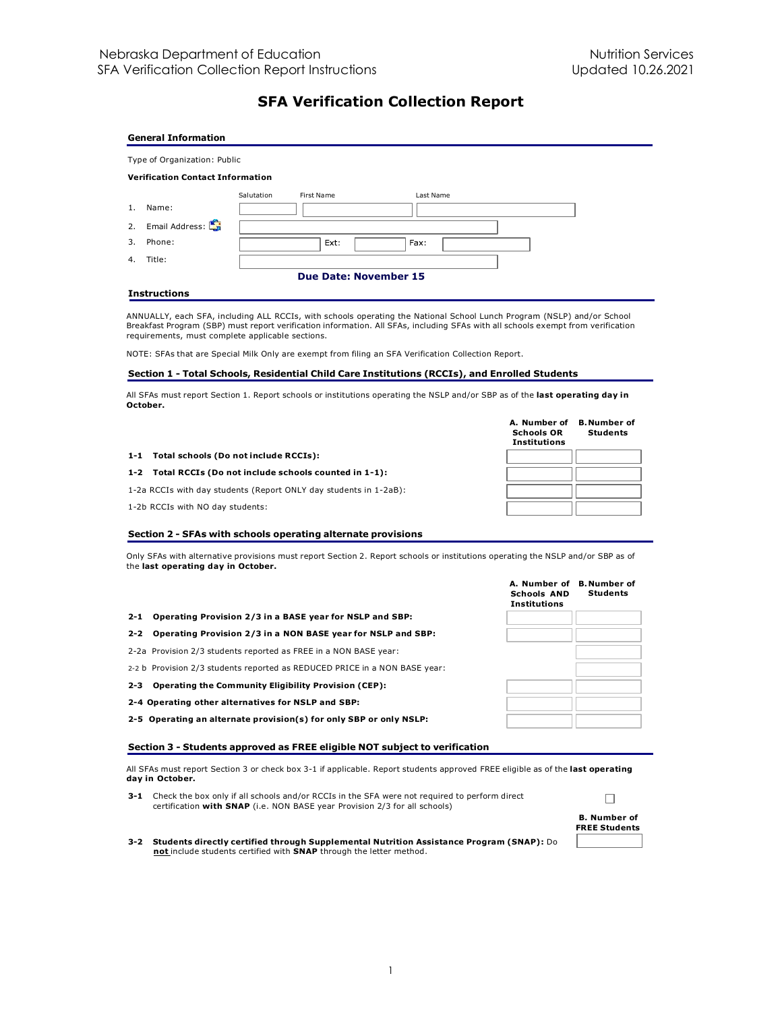# **SFA Verification Collection Report**

|                  | <b>General Information</b>              |            |                              |           |  |  |  |
|------------------|-----------------------------------------|------------|------------------------------|-----------|--|--|--|
|                  | Type of Organization: Public            |            |                              |           |  |  |  |
|                  | <b>Verification Contact Information</b> |            |                              |           |  |  |  |
|                  |                                         | Salutation | First Name                   | Last Name |  |  |  |
| 1.               | Name:                                   |            |                              |           |  |  |  |
|                  | 2. Email Address:                       |            |                              |           |  |  |  |
| $\overline{3}$ . | Phone:                                  |            | Ext:                         | Fax:      |  |  |  |
| 4.               | Title:                                  |            |                              |           |  |  |  |
|                  |                                         |            | <b>Due Date: November 15</b> |           |  |  |  |
|                  | <b>Instructions</b>                     |            |                              |           |  |  |  |

ANNUALLY, each SFA, including ALL RCCIs, with schools operating the National School Lunch Program (NSLP) and/or School Breakfast Program (SBP) must report verification information. All SFAs, including SFAs with all schools exempt from verification requirements, must complete applicable sections.

NOTE: SFAs that are Special Milk Only are exempt from filing an SFA Verification Collection Report.

## **Section 1 - Total Schools, Residential Child Care Institutions (RCCIs), and Enrolled Students**

All SFAs must report Section 1. Report schools or institutions operating the NSLP and/or SBP as of the **last operating day in October.**

|                                                                   | A. Number of<br><b>Schools OR</b><br><b>Institutions</b> | <b>B. Number of</b><br><b>Students</b> |
|-------------------------------------------------------------------|----------------------------------------------------------|----------------------------------------|
| 1-1 Total schools (Do not include RCCIs):                         |                                                          |                                        |
| 1-2 Total RCCIs (Do not include schools counted in 1-1):          |                                                          |                                        |
| 1-2a RCCIs with day students (Report ONLY day students in 1-2aB): |                                                          |                                        |
| 1-2b RCCIs with NO day students:                                  |                                                          |                                        |

#### **Section 2 - SFAs with schools operating alternate provisions**

Only SFAs with alternative provisions must report Section 2. Report schools or institutions operating the NSLP and/or SBP as of the **last operating day in October.**

| 2-1 Operating Provision 2/3 in a BASE year for NSLP and SBP: |  |
|--------------------------------------------------------------|--|

## **2-2 Operating Provision 2/3 in a NON BASE year for NSLP and SBP:**

- 2-2a Provision 2/3 students reported as FREE in a NON BASE year:
- 2-2 b Provision 2/3 students reported as REDUCED PRICE in a NON BASE year:
- **2-3 Operating the Community Eligibility Provision (CEP):**
- **2-4 Operating other alternatives for NSLP and SBP:**
- **2-5 Operating an alternate provision(s) for only SBP or only NSLP:**

#### **Section 3 - Students approved as FREE eligible NOT subject to verification**

All SFAs must report Section 3 or check box 3-1 if applicable. Report students approved FREE eligible as of the **last operating day in October.**

**3-1** Check the box only if all schools and/or RCCIs in the SFA were not required to perform direct certification **with SNAP** (i.e. NON BASE year Provision 2/3 for all schools)



**A. Number of B. Number of**

**Students**

**Schools AND Institutions**

**3-2 Students directly certified through Supplemental Nutrition Assistance Program (SNAP):** Do **not** include students certified with **SNAP** through the letter method.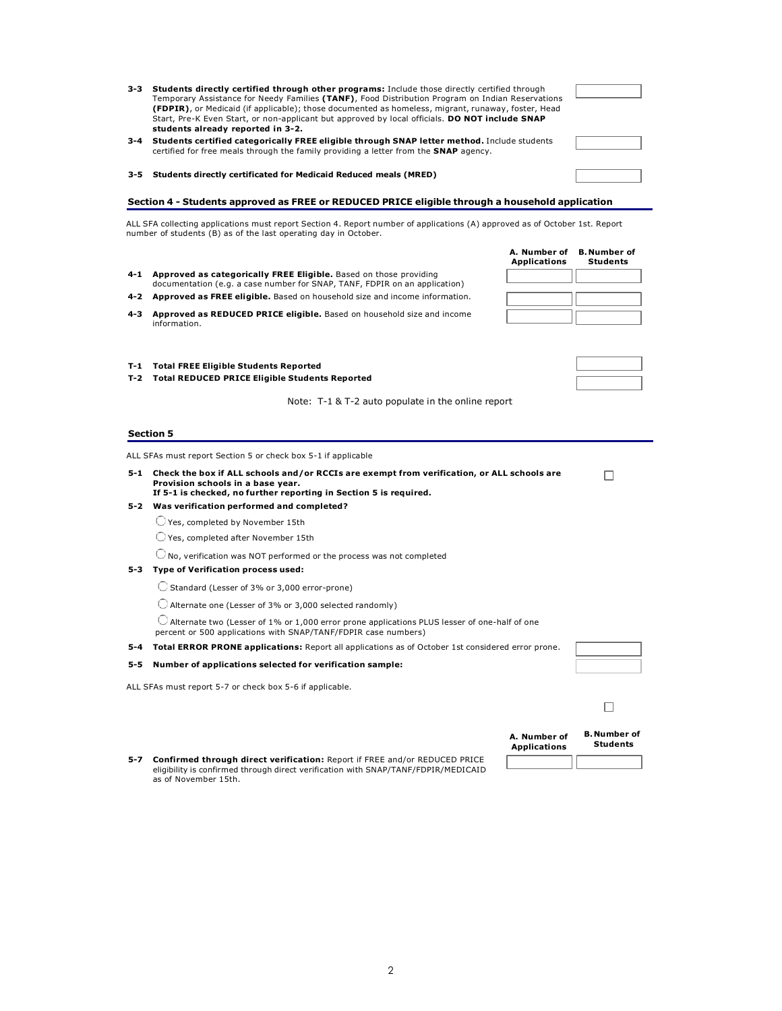- **3-3 Students directly certified through other programs:** Include those directly certified through Temporary Assistance for Needy Families **(TANF)**, Food Distribution Program on Indian Reservations **(FDPIR)**, or Medicaid (if applicable); those documented as homeless, migrant, runaway, foster, Head Start, Pre-K Even Start, or non-applicant but approved by local officials. **DO NOT include SNAP students already reported in 3-2.**
- **3-4 Students certified categorically FREE eligible through SNAP letter method.** Include students certified for free meals through the family providing a letter from the **SNAP** agency.
- **3-5 Students directly certificated for Medicaid Reduced meals (MRED)**

## **Section 4 - Students approved as FREE or REDUCED PRICE eligible through a household application**

ALL SFA collecting applications must report Section 4. Report number of applications (A) approved as of October 1st. Report number of students (B) as of the last operating day in October.

- **4-1 Approved as categorically FREE Eligible.** Based on those providing documentation (e.g. a case number for SNAP, TANF, FDPIR on an application)
- **4-2 Approved as FREE eligible.** Based on household size and income information.
- **4-3 Approved as REDUCED PRICE eligible.** Based on household size and income information.

#### **T-1 Total FREE Eligible Students Reported**

**T-2 Total REDUCED PRICE Eligible Students Reported**

Note: T-1 & T-2 auto populate in the online report

#### **Section 5**

ALL SFAs must report Section 5 or check box 5-1 if applicable

**5-1 Check the box if ALL schools and/or RCCIs are exempt from verification, or ALL schools are Provision schools in a base year. If 5-1 is checked, no further reporting in Section 5 is required.**

#### **5-2 Was verification performed and completed?**

Yes, completed by November 15th

Yes, completed after November 15th

No, verification was NOT performed or the process was not completed

## **5-3 Type of Verification process used:**

 $\bigcirc$  Standard (Lesser of 3% or 3,000 error-prone)

 $\bigcirc$  Alternate one (Lesser of 3% or 3,000 selected randomly)

Alternate two (Lesser of 1% or 1,000 error prone applications PLUS lesser of one-half of one

percent or 500 applications with SNAP/TANF/FDPIR case numbers) **5-4 Total ERROR PRONE applications:** Report all applications as of October 1st considered error prone.

#### **5-5 Number of applications selected for verification sample:**

ALL SFAs must report 5-7 or check box 5-6 if applicable.

| <b>Confirmed through direct verification: Report if FREE and/or REDUCED PRICE</b><br>5-7                   | <b>SLUUCIIL</b> |
|------------------------------------------------------------------------------------------------------------|-----------------|
| eligibility is confirmed through direct verification with SNAP/TANF/FDPIR/MEDICAID<br>as of November 15th. |                 |



 $\Box$ 

**B. Number of Students**

**A. Number of Applications**

 $\Box$ 



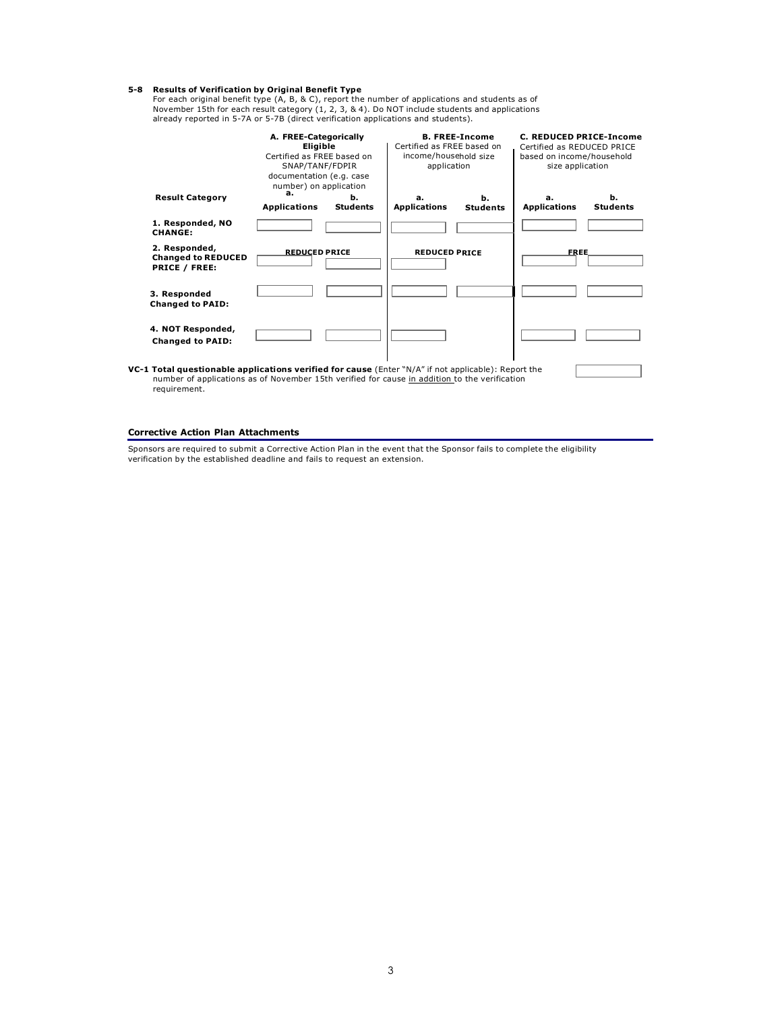**5-8 Results of Verification by Original Benefit Type**<br>For each original benefit type  $(A, B, \& C)$ , report the number of applications and students as of<br>November 15th for each result category  $(1, 2, 3, \& 4)$ . Do NOT includ

|                                                                                                                                                                                                                             | A. FREE-Categorically<br>Eligible<br>Certified as FRFF based on<br>SNAP/TANF/FDPIR<br>documentation (e.g. case<br>number) on application<br>а. |                       | <b>B. FREE-Income</b><br>Certified as FREE based on<br>income/household size<br>application |                       | C. REDUCED PRICE-Income<br>Certified as REDUCED PRICE<br>based on income/household<br>size application |                       |
|-----------------------------------------------------------------------------------------------------------------------------------------------------------------------------------------------------------------------------|------------------------------------------------------------------------------------------------------------------------------------------------|-----------------------|---------------------------------------------------------------------------------------------|-----------------------|--------------------------------------------------------------------------------------------------------|-----------------------|
| <b>Result Category</b>                                                                                                                                                                                                      | <b>Applications</b>                                                                                                                            | h.<br><b>Students</b> | а.<br><b>Applications</b>                                                                   | h.<br><b>Students</b> | а.<br><b>Applications</b>                                                                              | ь.<br><b>Students</b> |
| 1. Responded, NO<br><b>CHANGE:</b>                                                                                                                                                                                          |                                                                                                                                                |                       |                                                                                             |                       |                                                                                                        |                       |
| 2. Responded,<br><b>Changed to REDUCED</b><br><b>PRICE / FREE:</b>                                                                                                                                                          | <b>REDUCED PRICE</b>                                                                                                                           |                       | <b>REDUCED PRICE</b>                                                                        |                       | <b>FREE</b>                                                                                            |                       |
| 3. Responded<br><b>Changed to PAID:</b>                                                                                                                                                                                     |                                                                                                                                                |                       |                                                                                             |                       |                                                                                                        |                       |
| 4. NOT Responded,<br><b>Changed to PAID:</b>                                                                                                                                                                                |                                                                                                                                                |                       |                                                                                             |                       |                                                                                                        |                       |
| <b>VC-1 Total questionable applications verified for cause</b> (Enter "N/A" if not applicable): Report the<br>number of applications as of November 15th verified for cause in addition to the verification<br>requirement. |                                                                                                                                                |                       |                                                                                             |                       |                                                                                                        |                       |

## **Corrective Action Plan Attachments**

Sponsors are required to submit a Corrective Action Plan in the event that the Sponsor fails to complete the eligibility verification by the established deadline and fails to request an extension.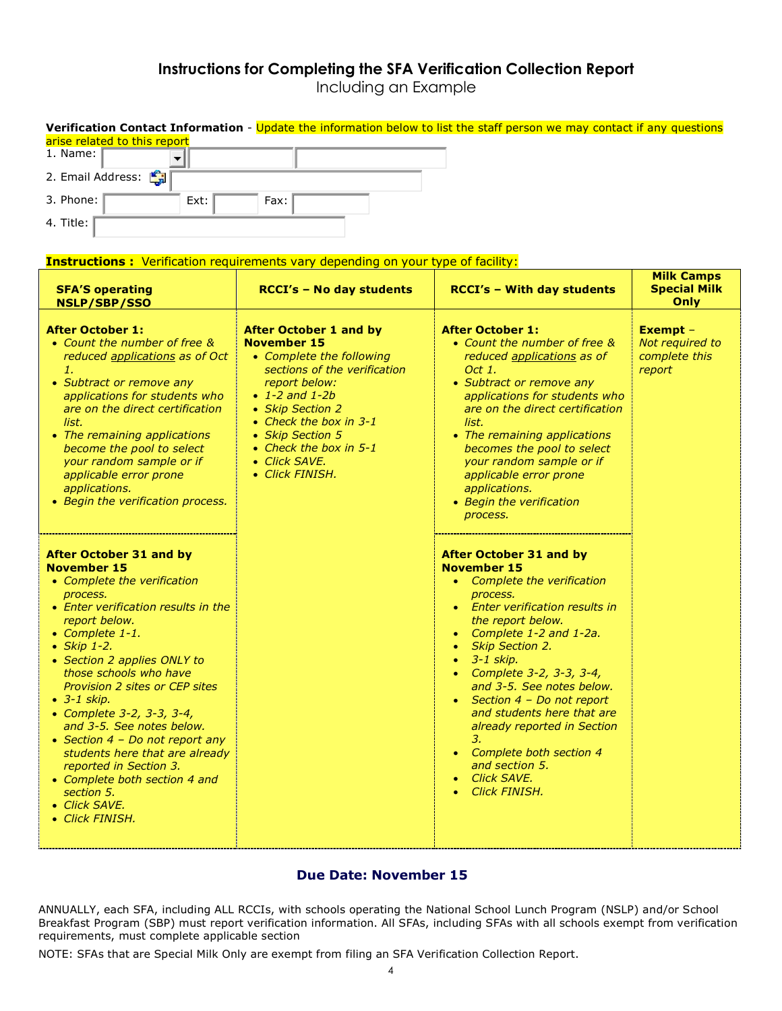# **Instructions for Completing the SFA Verification Collection Report**

Including an Example

| arise related to this report<br>1. Name:<br>▼<br>2. Email Address:<br>3. Phone:<br>Ext:<br>4. Title:                                                                                                                                                                                                                                                                              | Fax:<br><b>Instructions:</b> Verification requirements vary depending on your type of facility:                                                                                                                                                                                            | Verification Contact Information - Update the information below to list the staff person we may contact if any questions                                                                                                                                                                                                                                                              |                                                        |
|-----------------------------------------------------------------------------------------------------------------------------------------------------------------------------------------------------------------------------------------------------------------------------------------------------------------------------------------------------------------------------------|--------------------------------------------------------------------------------------------------------------------------------------------------------------------------------------------------------------------------------------------------------------------------------------------|---------------------------------------------------------------------------------------------------------------------------------------------------------------------------------------------------------------------------------------------------------------------------------------------------------------------------------------------------------------------------------------|--------------------------------------------------------|
| <b>SFA'S operating</b><br>NSLP/SBP/SSO                                                                                                                                                                                                                                                                                                                                            | <b>RCCI's - No day students</b>                                                                                                                                                                                                                                                            | <b>RCCI's - With day students</b>                                                                                                                                                                                                                                                                                                                                                     | <b>Milk Camps</b><br><b>Special Milk</b><br>Only       |
| <b>After October 1:</b><br>• Count the number of free &<br>reduced applications as of Oct<br>1.<br>• Subtract or remove any<br>applications for students who<br>are on the direct certification<br>list.<br>• The remaining applications<br>become the pool to select<br>your random sample or if<br>applicable error prone<br>applications.<br>• Begin the verification process. | <b>After October 1 and by</b><br><b>November 15</b><br>• Complete the following<br>sections of the verification<br>report below:<br>• $1 - 2$ and $1 - 2b$<br>• Skip Section 2<br>• Check the box in 3-1<br>• Skip Section 5<br>• Check the box in 5-1<br>• Click SAVE.<br>• Click FINISH. | <b>After October 1:</b><br>• Count the number of free &<br>reduced applications as of<br>Oct 1.<br>• Subtract or remove any<br>applications for students who<br>are on the direct certification<br>list.<br>• The remaining applications<br>becomes the pool to select<br>your random sample or if<br>applicable error prone<br>applications.<br>• Begin the verification<br>process. | Exempt -<br>Not required to<br>complete this<br>report |
| After October 31 and by<br><b>November 15</b><br>• Complete the verification<br>process.<br>• Enter verification results in the<br>report below.                                                                                                                                                                                                                                  |                                                                                                                                                                                                                                                                                            | <b>After October 31 and by</b><br><b>November 15</b><br>Complete the verification<br>process.<br><b>Enter verification results in</b><br>the report below.                                                                                                                                                                                                                            |                                                        |

- *Complete 1-1.*
- *Skip 1-2.*
- *Section 2 applies ONLY to those schools who have Provision 2 sites or CEP sites*
- *3-1 skip.*
- *Complete 3-2, 3-3, 3-4, and 3-5. See notes below.*
- *Section 4 Do not report any students here that are already reported in Section 3.*
- *Complete both section 4 and section 5.*
- *Click SAVE.*
- *Click FINISH.*

# **Due Date: November 15**

• *Complete 1-2 and 1-2a.*

• *Complete 3-2, 3-3, 3-4, and 3-5. See notes below.* • *Section 4 – Do not report and students here that are already reported in Section*

• *Complete both section 4 and section 5.* • *Click SAVE.* • *Click FINISH.*

• *Skip Section 2.* • *3-1 skip.*

*3.*

ANNUALLY, each SFA, including ALL RCCIs, with schools operating the National School Lunch Program (NSLP) and/or School Breakfast Program (SBP) must report verification information. All SFAs, including SFAs with all schools exempt from verification requirements, must complete applicable section

NOTE: SFAs that are Special Milk Only are exempt from filing an SFA Verification Collection Report.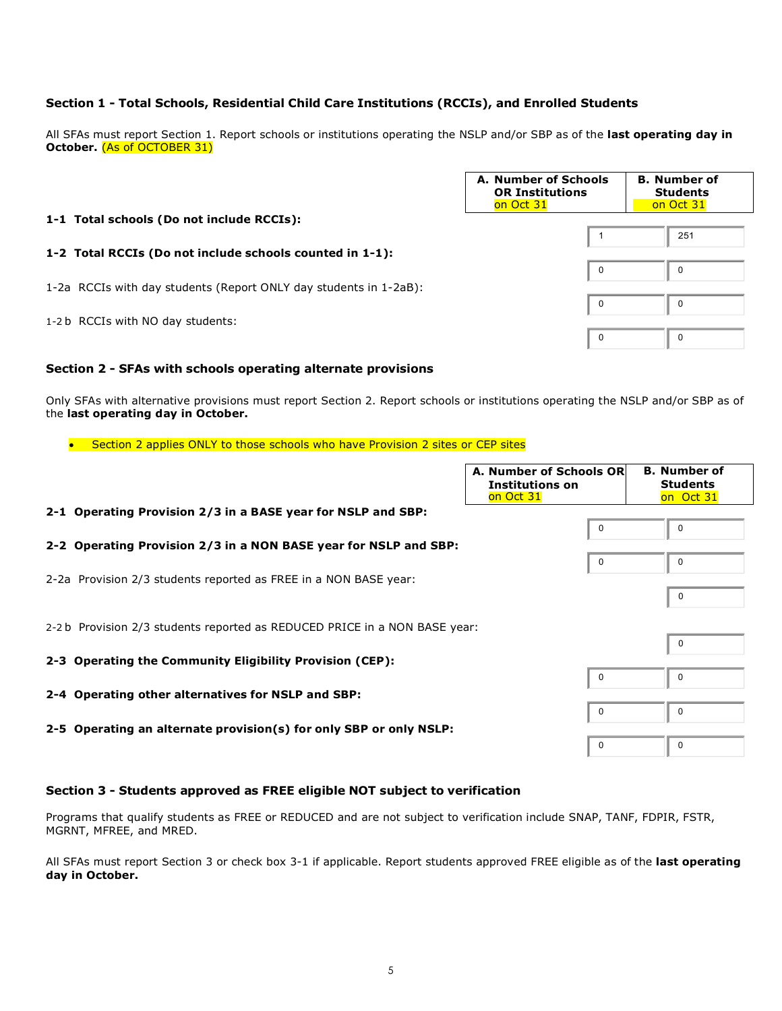# **Section 1 - Total Schools, Residential Child Care Institutions (RCCIs), and Enrolled Students**

All SFAs must report Section 1. Report schools or institutions operating the NSLP and/or SBP as of the **last operating day in October.** (As of OCTOBER 31)

|                                                                   | A. Number of Schools<br><b>OR Institutions</b><br>on Oct 31 | <b>B.</b> Number of<br><b>Students</b><br>on Oct 31 |
|-------------------------------------------------------------------|-------------------------------------------------------------|-----------------------------------------------------|
| 1-1 Total schools (Do not include RCCIs):                         |                                                             | 251                                                 |
| 1-2 Total RCCIs (Do not include schools counted in 1-1):          | $\mathbf 0$                                                 | $\mathbf 0$                                         |
| 1-2a RCCIs with day students (Report ONLY day students in 1-2aB): | $\overline{0}$                                              | 0                                                   |
| 1-2 b RCCIs with NO day students:                                 | $\mathbf 0$                                                 | 0                                                   |

## **Section 2 - SFAs with schools operating alternate provisions**

Only SFAs with alternative provisions must report Section 2. Report schools or institutions operating the NSLP and/or SBP as of the **last operating day in October.**

## • Section 2 applies ONLY to those schools who have Provision 2 sites or CEP sites

|                                                                            | A. Number of Schools OR<br><b>Institutions on</b><br>on Oct 31 | <b>B.</b> Number of<br><b>Students</b><br>on Oct 31 |
|----------------------------------------------------------------------------|----------------------------------------------------------------|-----------------------------------------------------|
| 2-1 Operating Provision 2/3 in a BASE year for NSLP and SBP:               | $\Omega$                                                       | $\Omega$                                            |
| 2-2 Operating Provision 2/3 in a NON BASE year for NSLP and SBP:           |                                                                |                                                     |
| 2-2a Provision 2/3 students reported as FREE in a NON BASE year:           | 0                                                              | $\Omega$                                            |
|                                                                            |                                                                | $\mathbf 0$                                         |
| 2-2 b Provision 2/3 students reported as REDUCED PRICE in a NON BASE year: |                                                                | 0                                                   |
| 2-3 Operating the Community Eligibility Provision (CEP):                   |                                                                |                                                     |
| 2-4 Operating other alternatives for NSLP and SBP:                         | 0                                                              | $\Omega$                                            |
|                                                                            | $\overline{0}$                                                 | $\Omega$                                            |
| 2-5 Operating an alternate provision(s) for only SBP or only NSLP:         | $\Omega$                                                       | $\Omega$                                            |

# **Section 3 - Students approved as FREE eligible NOT subject to verification**

Programs that qualify students as FREE or REDUCED and are not subject to verification include SNAP, TANF, FDPIR, FSTR, MGRNT, MFREE, and MRED.

All SFAs must report Section 3 or check box 3-1 if applicable. Report students approved FREE eligible as of the **last operating day in October.**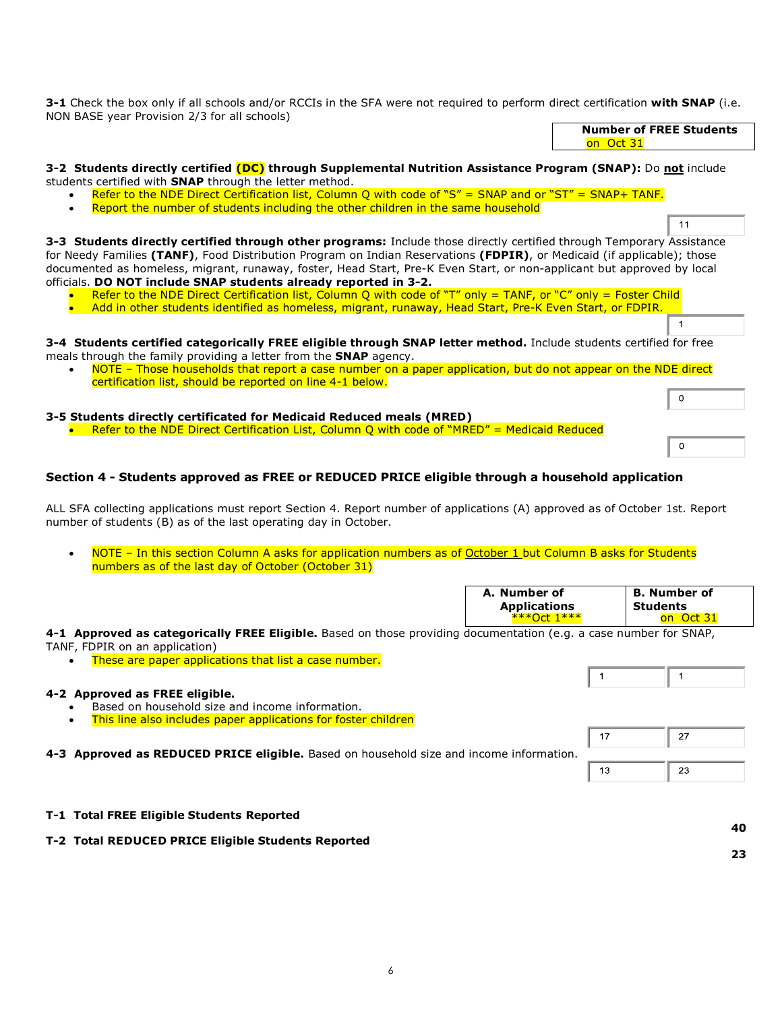**3-1** Check the box only if all schools and/or RCCIs in the SFA were not required to perform direct certification **with SNAP** (i.e. NON BASE year Provision 2/3 for all schools)

| on Oct 31                                                                                                                                                                                      |
|------------------------------------------------------------------------------------------------------------------------------------------------------------------------------------------------|
| 3-2 Students directly certified (DC) through Supplemental Nutrition Assistance Program (SNAP): Do not include                                                                                  |
| students certified with SNAP through the letter method.                                                                                                                                        |
| Refer to the NDE Direct Certification list, Column Q with code of "S" = SNAP and or "ST" = SNAP+ TANF.<br>Report the number of students including the other children in the same household     |
| 11                                                                                                                                                                                             |
| 3-3 Students directly certified through other programs: Include those directly certified through Temporary Assistance                                                                          |
| for Needy Families (TANF), Food Distribution Program on Indian Reservations (FDPIR), or Medicaid (if applicable); those                                                                        |
| documented as homeless, migrant, runaway, foster, Head Start, Pre-K Even Start, or non-applicant but approved by local                                                                         |
| officials. DO NOT include SNAP students already reported in 3-2.                                                                                                                               |
| Refer to the NDE Direct Certification list, Column Q with code of "T" only = TANF, or "C" only = Foster Child                                                                                  |
| Add in other students identified as homeless, migrant, runaway, Head Start, Pre-K Even Start, or FDPIR.                                                                                        |
|                                                                                                                                                                                                |
| 3-4 Students certified categorically FREE eligible through SNAP letter method. Include students certified for free<br>meals through the family providing a letter from the <b>SNAP</b> agency. |
| NOTE - Those households that report a case number on a paper application, but do not appear on the NDE direct<br>certification list, should be reported on line 4-1 below.                     |
| $\Omega$                                                                                                                                                                                       |
| 3-5 Students directly certificated for Medicaid Reduced meals (MRED)                                                                                                                           |
| Refer to the NDE Direct Certification List, Column Q with code of "MRED" = Medicaid Reduced                                                                                                    |
| 0                                                                                                                                                                                              |
| Section 4 - Students approved as FREE or REDUCED PRICE eligible through a household application                                                                                                |

ALL SFA collecting applications must report Section 4. Report number of applications (A) approved as of October 1st. Report number of students (B) as of the last operating day in October.

• NOTE – In this section Column A asks for application numbers as of October 1 but Column B asks for Students numbers as of the last day of October (October 31)

|                                                                                                         | A. Number of<br><b>Applications</b><br>$***$ 1 $*$ $*$ $*$ | <b>B. Number of</b><br>Students<br>Oct<br>on. |
|---------------------------------------------------------------------------------------------------------|------------------------------------------------------------|-----------------------------------------------|
| <b>ategorically FREE Eligible.</b> Based on those providing documentation (e.g. a case number for SNAP. |                                                            |                                               |

**4-1 Approved as categorically FREE Eligible.** Based on those providing documentation (e.g TANF, FDPIR on an application)

These are paper applications that list a case number.

# **4-2 Approved as FREE eligible.**

- Based on household size and income information.
- This line also includes paper applications for foster children

**4-3 Approved as REDUCED PRICE eligible.** Based on household size and income information.

| 13 | 23 |
|----|----|

 $\mathbf{1}$ 

 $\mathbf{1}$ 

**Number of FREE Students**

**40 23**

|  |  |  |  |  | T-1 Total FREE Eligible Students Reported |
|--|--|--|--|--|-------------------------------------------|
|--|--|--|--|--|-------------------------------------------|

**T-2 Total REDUCED PRICE Eligible Students Reported**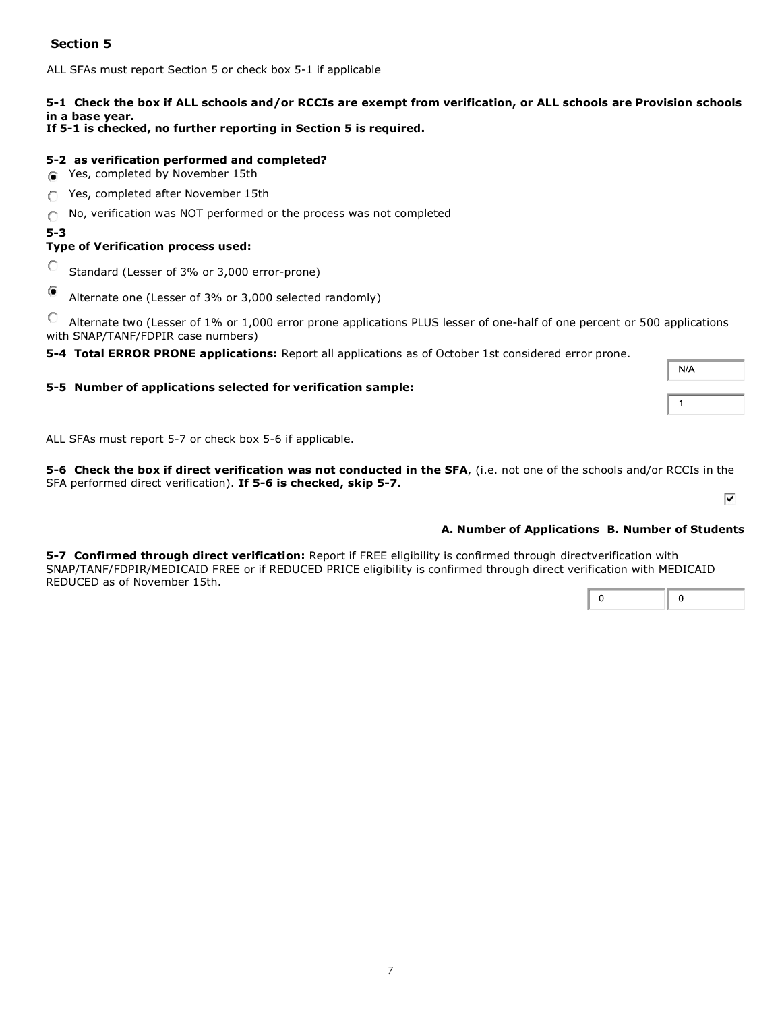# **Section 5**

ALL SFAs must report Section 5 or check box 5-1 if applicable

# **5-1 Check the box if ALL schools and/or RCCIs are exempt from verification, or ALL schools are Provision schools in a base year.**

**If 5-1 is checked, no further reporting in Section 5 is required.**

# **5-2 as verification performed and completed?**

- **Theory** Yes, completed by November 15th
- Yes, completed after November 15th
- No, verification was NOT performed or the process was not completed O
- **5-3**

# **Type of Verification process used:**

- C Standard (Lesser of 3% or 3,000 error-prone)
- $\mathbf G$ Alternate one (Lesser of 3% or 3,000 selected randomly)

O Alternate two (Lesser of 1% or 1,000 error prone applications PLUS lesser of one-half of one percent or 500 applications with SNAP/TANF/FDPIR case numbers)

**5-4 Total ERROR PRONE applications:** Report all applications as of October 1st considered error prone.

# **5-5 Number of applications selected for verification sample:**

ALL SFAs must report 5-7 or check box 5-6 if applicable.

**5-6 Check the box if direct verification was not conducted in the SFA**, (i.e. not one of the schools and/or RCCIs in the SFA performed direct verification). **If 5-6 is checked, skip 5-7.**

# **A. Number of Applications B. Number of Students**

**5-7 Confirmed through direct verification:** Report if FREE eligibility is confirmed through directverification with SNAP/TANF/FDPIR/MEDICAID FREE or if REDUCED PRICE eligibility is confirmed through direct verification with MEDICAID REDUCED as of November 15th.

 $\overline{0}$  $\mathbf 0$